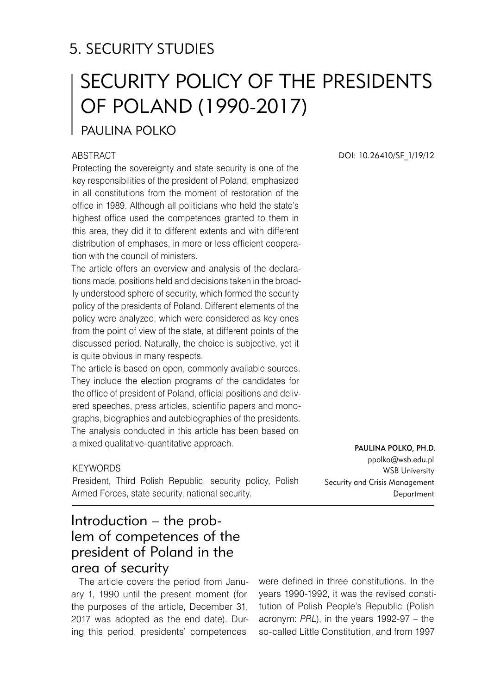# 5. SECURITY STUDIES

# Security Policy of the Presidents of Poland (1990-2017)

PAULINA POLKO

#### **ABSTRACT**

Protecting the sovereignty and state security is one of the key responsibilities of the president of Poland, emphasized in all constitutions from the moment of restoration of the office in 1989. Although all politicians who held the state's highest office used the competences granted to them in this area, they did it to different extents and with different distribution of emphases, in more or less efficient cooperation with the council of ministers.

The article offers an overview and analysis of the declarations made, positions held and decisions taken in the broadly understood sphere of security, which formed the security policy of the presidents of Poland. Different elements of the policy were analyzed, which were considered as key ones from the point of view of the state, at different points of the discussed period. Naturally, the choice is subjective, yet it is quite obvious in many respects.

The article is based on open, commonly available sources. They include the election programs of the candidates for the office of president of Poland, official positions and delivered speeches, press articles, scientific papers and monographs, biographies and autobiographies of the presidents. The analysis conducted in this article has been based on a mixed qualitative-quantitative approach.

#### **KEYWORDS**

President, Third Polish Republic, security policy, Polish Armed Forces, state security, national security.

DOI: 10.26410/SF\_1/19/12

Paulina Polko, Ph.D. ppolko@wsb.edu.pl WSB University Security and Crisis Management Department

## Introduction – the problem of competences of the president of Poland in the area of security

The article covers the period from January 1, 1990 until the present moment (for the purposes of the article, December 31, 2017 was adopted as the end date). During this period, presidents' competences

were defined in three constitutions. In the years 1990-1992, it was the revised constitution of Polish People's Republic (Polish acronym: *PRL*), in the years 1992-97 – the so-called Little Constitution, and from 1997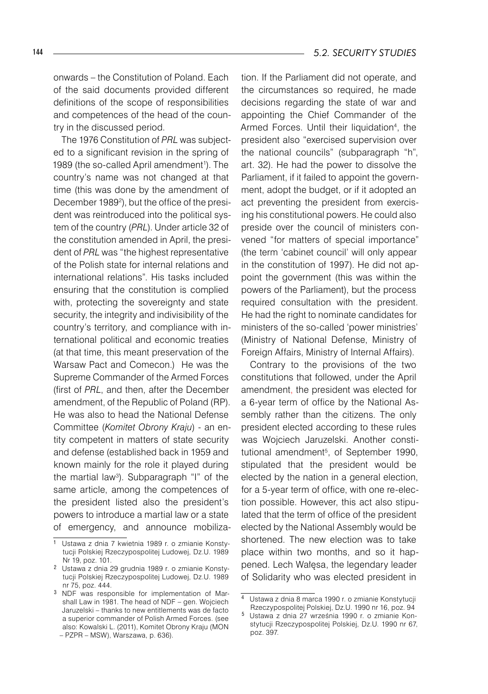onwards – the Constitution of Poland. Each of the said documents provided different definitions of the scope of responsibilities and competences of the head of the country in the discussed period.

The 1976 Constitution of *PRL* was subjected to a significant revision in the spring of 1989 (the so-called April amendment<sup>1</sup>). The country's name was not changed at that time (this was done by the amendment of December 1989<sup>2</sup> ), but the office of the president was reintroduced into the political system of the country (*PRL*). Under article 32 of the constitution amended in April, the president of *PRL* was "the highest representative of the Polish state for internal relations and international relations". His tasks included ensuring that the constitution is complied with, protecting the sovereignty and state security, the integrity and indivisibility of the country's territory, and compliance with international political and economic treaties (at that time, this meant preservation of the Warsaw Pact and Comecon.) He was the Supreme Commander of the Armed Forces (first of *PRL*, and then, after the December amendment, of the Republic of Poland (RP). He was also to head the National Defense Committee (*Komitet Obrony Kraju*) - an entity competent in matters of state security and defense (established back in 1959 and known mainly for the role it played during the martial law<sup>3</sup> ). Subparagraph "I" of the same article, among the competences of the president listed also the president's powers to introduce a martial law or a state of emergency, and announce mobilization. If the Parliament did not operate, and the circumstances so required, he made decisions regarding the state of war and appointing the Chief Commander of the Armed Forces. Until their liquidation<sup>4</sup>, the president also "exercised supervision over the national councils" (subparagraph "h", art. 32). He had the power to dissolve the Parliament, if it failed to appoint the government, adopt the budget, or if it adopted an act preventing the president from exercising his constitutional powers. He could also preside over the council of ministers convened "for matters of special importance" (the term 'cabinet council' will only appear in the constitution of 1997). He did not appoint the government (this was within the powers of the Parliament), but the process required consultation with the president. He had the right to nominate candidates for ministers of the so-called 'power ministries' (Ministry of National Defense, Ministry of Foreign Affairs, Ministry of Internal Affairs).

Contrary to the provisions of the two constitutions that followed, under the April amendment, the president was elected for a 6-year term of office by the National Assembly rather than the citizens. The only president elected according to these rules was Wojciech Jaruzelski. Another constitutional amendment<sup>5</sup>, of September 1990, stipulated that the president would be elected by the nation in a general election, for a 5-year term of office, with one re-election possible. However, this act also stipulated that the term of office of the president elected by the National Assembly would be shortened. The new election was to take place within two months, and so it happened. Lech Wałęsa, the legendary leader of Solidarity who was elected president in

Ustawa z dnia 7 kwietnia 1989 r. o zmianie Konstytucji Polskiej Rzeczypospolitej Ludowej, Dz.U. 1989 Nr 19, poz. 101.

Ustawa z dnia 29 grudnia 1989 r. o zmianie Konstytucji Polskiej Rzeczypospolitej Ludowej, Dz.U. 1989 nr 75, poz. 444.

<sup>&</sup>lt;sup>3</sup> NDF was responsible for implementation of Marshall Law in 1981. The head of NDF – gen. Wojciech Jaruzelski – thanks to new entitlements was de facto a superior commander of Polish Armed Forces. (see also: Kowalski L. (2011), Komitet Obrony Kraju (MON – PZPR – MSW), Warszawa, p. 636).

Ustawa z dnia 8 marca 1990 r. o zmianie Konstytucji Rzeczypospolitej Polskiej, Dz.U. 1990 nr 16, poz. 94

Ustawa z dnia 27 września 1990 r. o zmianie Konstytucji Rzeczypospolitej Polskiej, Dz.U. 1990 nr 67, poz. 397.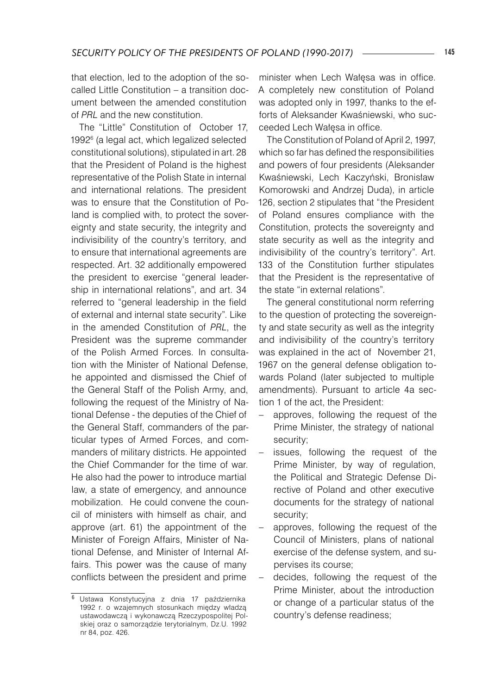that election, led to the adoption of the socalled Little Constitution – a transition document between the amended constitution of *PRL* and the new constitution.

The "Little" Constitution of October 17, 1992<sup>6</sup> (a legal act, which legalized selected constitutional solutions), stipulated in art. 28 that the President of Poland is the highest representative of the Polish State in internal and international relations. The president was to ensure that the Constitution of Poland is complied with, to protect the sovereignty and state security, the integrity and indivisibility of the country's territory, and to ensure that international agreements are respected. Art. 32 additionally empowered the president to exercise "general leadership in international relations", and art. 34 referred to "general leadership in the field of external and internal state security". Like in the amended Constitution of *PRL*, the President was the supreme commander of the Polish Armed Forces. In consultation with the Minister of National Defense, he appointed and dismissed the Chief of the General Staff of the Polish Army, and, following the request of the Ministry of National Defense - the deputies of the Chief of the General Staff, commanders of the particular types of Armed Forces, and commanders of military districts. He appointed the Chief Commander for the time of war. He also had the power to introduce martial law, a state of emergency, and announce mobilization. He could convene the council of ministers with himself as chair, and approve (art. 61) the appointment of the Minister of Foreign Affairs, Minister of National Defense, and Minister of Internal Affairs. This power was the cause of many conflicts between the president and prime

minister when Lech Wałęsa was in office. A completely new constitution of Poland was adopted only in 1997, thanks to the efforts of Aleksander Kwaśniewski, who succeeded Lech Wałęsa in office.

The Constitution of Poland of April 2, 1997, which so far has defined the responsibilities and powers of four presidents (Aleksander Kwaśniewski, Lech Kaczyński, Bronisław Komorowski and Andrzej Duda), in article 126, section 2 stipulates that "the President of Poland ensures compliance with the Constitution, protects the sovereignty and state security as well as the integrity and indivisibility of the country's territory". Art. 133 of the Constitution further stipulates that the President is the representative of the state "in external relations".

The general constitutional norm referring to the question of protecting the sovereignty and state security as well as the integrity and indivisibility of the country's territory was explained in the act of November 21, 1967 on the general defense obligation towards Poland (later subjected to multiple amendments). Pursuant to article 4a section 1 of the act, the President:

- approves, following the request of the Prime Minister, the strategy of national security;
- issues, following the request of the Prime Minister, by way of regulation, the Political and Strategic Defense Directive of Poland and other executive documents for the strategy of national security;
- approves, following the request of the Council of Ministers, plans of national exercise of the defense system, and supervises its course;
- − decides, following the request of the Prime Minister, about the introduction or change of a particular status of the country's defense readiness;

<sup>6</sup> Ustawa Konstytucyjna z dnia 17 października 1992 r. o wzajemnych stosunkach między władzą ustawodawczą i wykonawczą Rzeczypospolitej Polskiej oraz o samorządzie terytorialnym, Dz.U. 1992 nr 84, poz. 426.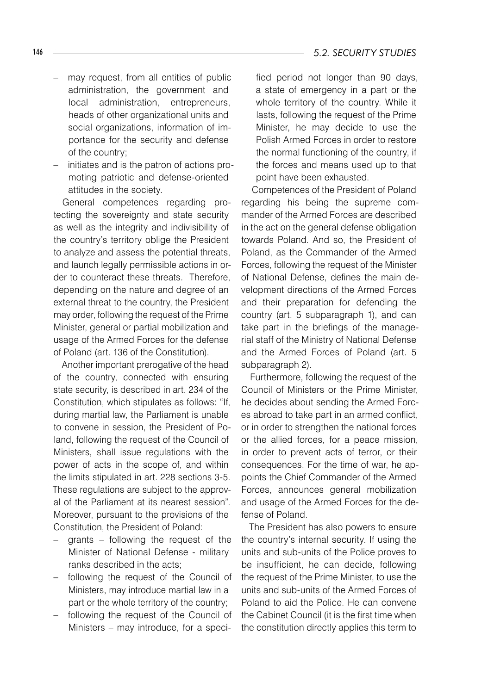- − may request, from all entities of public administration, the government and local administration, entrepreneurs, heads of other organizational units and social organizations, information of importance for the security and defense of the country;
- initiates and is the patron of actions promoting patriotic and defense-oriented attitudes in the society.

General competences regarding protecting the sovereignty and state security as well as the integrity and indivisibility of the country's territory oblige the President to analyze and assess the potential threats, and launch legally permissible actions in order to counteract these threats. Therefore, depending on the nature and degree of an external threat to the country, the President may order, following the request of the Prime Minister, general or partial mobilization and usage of the Armed Forces for the defense of Poland (art. 136 of the Constitution).

Another important prerogative of the head of the country, connected with ensuring state security, is described in art. 234 of the Constitution, which stipulates as follows: "If, during martial law, the Parliament is unable to convene in session, the President of Poland, following the request of the Council of Ministers, shall issue regulations with the power of acts in the scope of, and within the limits stipulated in art. 228 sections 3-5. These regulations are subject to the approval of the Parliament at its nearest session". Moreover, pursuant to the provisions of the Constitution, the President of Poland:

- grants following the request of the Minister of National Defense - military ranks described in the acts;
- − following the request of the Council of Ministers, may introduce martial law in a part or the whole territory of the country;
- − following the request of the Council of Ministers – may introduce, for a speci-

fied period not longer than 90 days, a state of emergency in a part or the whole territory of the country. While it lasts, following the request of the Prime Minister, he may decide to use the Polish Armed Forces in order to restore the normal functioning of the country, if the forces and means used up to that point have been exhausted.

Competences of the President of Poland regarding his being the supreme commander of the Armed Forces are described in the act on the general defense obligation towards Poland. And so, the President of Poland, as the Commander of the Armed Forces, following the request of the Minister of National Defense, defines the main development directions of the Armed Forces and their preparation for defending the country (art. 5 subparagraph 1), and can take part in the briefings of the managerial staff of the Ministry of National Defense and the Armed Forces of Poland (art. 5 subparagraph 2).

Furthermore, following the request of the Council of Ministers or the Prime Minister, he decides about sending the Armed Forces abroad to take part in an armed conflict, or in order to strengthen the national forces or the allied forces, for a peace mission, in order to prevent acts of terror, or their consequences. For the time of war, he appoints the Chief Commander of the Armed Forces, announces general mobilization and usage of the Armed Forces for the defense of Poland.

The President has also powers to ensure the country's internal security. If using the units and sub-units of the Police proves to be insufficient, he can decide, following the request of the Prime Minister, to use the units and sub-units of the Armed Forces of Poland to aid the Police. He can convene the Cabinet Council (it is the first time when the constitution directly applies this term to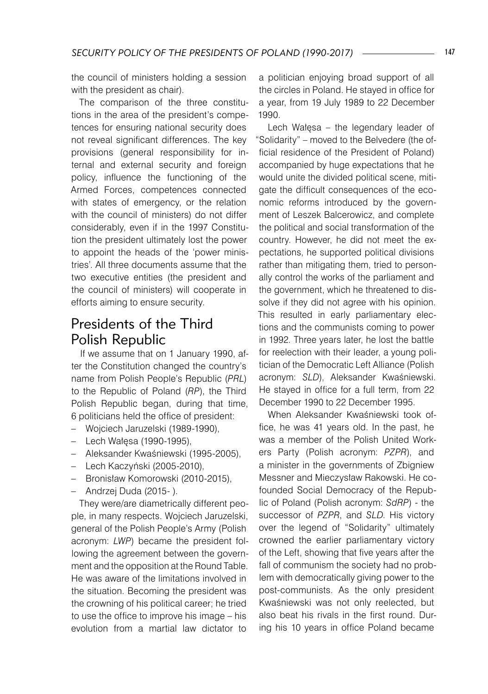the council of ministers holding a session with the president as chair).

The comparison of the three constitutions in the area of the president's competences for ensuring national security does not reveal significant differences. The key provisions (general responsibility for internal and external security and foreign policy, influence the functioning of the Armed Forces, competences connected with states of emergency, or the relation with the council of ministers) do not differ considerably, even if in the 1997 Constitution the president ultimately lost the power to appoint the heads of the 'power ministries'. All three documents assume that the two executive entities (the president and the council of ministers) will cooperate in efforts aiming to ensure security.

## Presidents of the Third Polish Republic

If we assume that on 1 January 1990, after the Constitution changed the country's name from Polish People's Republic (*PRL*) to the Republic of Poland (*RP*), the Third Polish Republic began, during that time, 6 politicians held the office of president:

- − Wojciech Jaruzelski (1989-1990),
- − Lech Wałęsa (1990-1995),
- − Aleksander Kwaśniewski (1995-2005),
- − Lech Kaczyński (2005-2010),
- − Bronisław Komorowski (2010-2015),
- − Andrzej Duda (2015- ).

They were/are diametrically different people, in many respects. Wojciech Jaruzelski, general of the Polish People's Army (Polish acronym: *LWP*) became the president following the agreement between the government and the opposition at the Round Table. He was aware of the limitations involved in the situation. Becoming the president was the crowning of his political career; he tried to use the office to improve his image – his evolution from a martial law dictator to

a politician enjoying broad support of all the circles in Poland. He stayed in office for a year, from 19 July 1989 to 22 December 1990.

Lech Wałęsa – the legendary leader of "Solidarity" – moved to the Belvedere (the official residence of the President of Poland) accompanied by huge expectations that he would unite the divided political scene, mitigate the difficult consequences of the economic reforms introduced by the government of Leszek Balcerowicz, and complete the political and social transformation of the country. However, he did not meet the expectations, he supported political divisions rather than mitigating them, tried to personally control the works of the parliament and the government, which he threatened to dissolve if they did not agree with his opinion. This resulted in early parliamentary elections and the communists coming to power in 1992. Three years later, he lost the battle for reelection with their leader, a young politician of the Democratic Left Alliance (Polish acronym: *SLD*), Aleksander Kwaśniewski. He stayed in office for a full term, from 22 December 1990 to 22 December 1995.

When Aleksander Kwaśniewski took office, he was 41 years old. In the past, he was a member of the Polish United Workers Party (Polish acronym: *PZPR*), and a minister in the governments of Zbigniew Messner and Mieczysław Rakowski. He cofounded Social Democracy of the Republic of Poland (Polish acronym: *SdRP*) - the successor of *PZPR*, and *SLD*. His victory over the legend of "Solidarity" ultimately crowned the earlier parliamentary victory of the Left, showing that five years after the fall of communism the society had no problem with democratically giving power to the post-communists. As the only president Kwaśniewski was not only reelected, but also beat his rivals in the first round. During his 10 years in office Poland became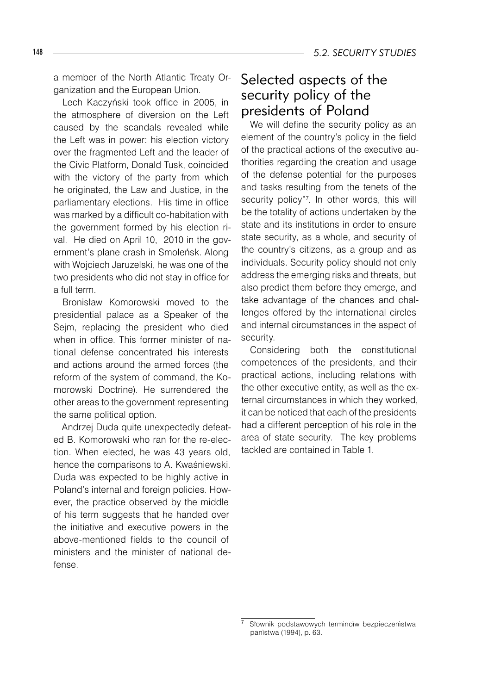a member of the North Atlantic Treaty Organization and the European Union.

Lech Kaczyński took office in 2005, in the atmosphere of diversion on the Left caused by the scandals revealed while the Left was in power: his election victory over the fragmented Left and the leader of the Civic Platform, Donald Tusk, coincided with the victory of the party from which he originated, the Law and Justice, in the parliamentary elections. His time in office was marked by a difficult co-habitation with the government formed by his election rival. He died on April 10, 2010 in the government's plane crash in Smoleńsk. Along with Wojciech Jaruzelski, he was one of the two presidents who did not stay in office for a full term.

Bronisław Komorowski moved to the presidential palace as a Speaker of the Sejm, replacing the president who died when in office. This former minister of national defense concentrated his interests and actions around the armed forces (the reform of the system of command, the Komorowski Doctrine). He surrendered the other areas to the government representing the same political option.

Andrzej Duda quite unexpectedly defeated B. Komorowski who ran for the re-election. When elected, he was 43 years old, hence the comparisons to A. Kwaśniewski. Duda was expected to be highly active in Poland's internal and foreign policies. However, the practice observed by the middle of his term suggests that he handed over the initiative and executive powers in the above-mentioned fields to the council of ministers and the minister of national defense.

## Selected aspects of the security policy of the presidents of Poland

We will define the security policy as an element of the country's policy in the field of the practical actions of the executive authorities regarding the creation and usage of the defense potential for the purposes and tasks resulting from the tenets of the security policy"7 . In other words, this will be the totality of actions undertaken by the state and its institutions in order to ensure state security, as a whole, and security of the country's citizens, as a group and as individuals. Security policy should not only address the emerging risks and threats, but also predict them before they emerge, and take advantage of the chances and challenges offered by the international circles and internal circumstances in the aspect of security.

Considering both the constitutional competences of the presidents, and their practical actions, including relations with the other executive entity, as well as the external circumstances in which they worked, it can be noticed that each of the presidents had a different perception of his role in the area of state security. The key problems tackled are contained in Table 1.

Słownik podstawowych terminoìw bezpieczenìstwa panìstwa (1994), p. 63.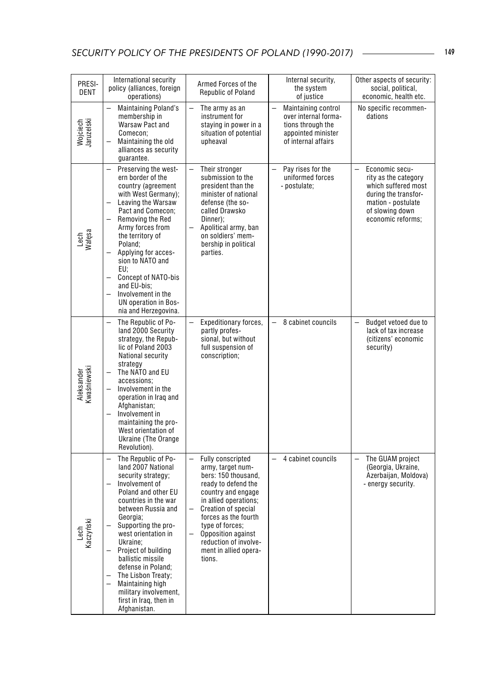| PRESI-<br>DENT            | International security<br>policy (alliances, foreign<br>operations)                                                                                                                                                                                                                                                                                                                                                                                       | Armed Forces of the<br>Republic of Poland                                                                                                                                                                                                                                                                                                                                   | Internal security,<br>the system<br>of justice                                                                | Other aspects of security:<br>social, political,<br>economic, health etc.                                                                                       |
|---------------------------|-----------------------------------------------------------------------------------------------------------------------------------------------------------------------------------------------------------------------------------------------------------------------------------------------------------------------------------------------------------------------------------------------------------------------------------------------------------|-----------------------------------------------------------------------------------------------------------------------------------------------------------------------------------------------------------------------------------------------------------------------------------------------------------------------------------------------------------------------------|---------------------------------------------------------------------------------------------------------------|-----------------------------------------------------------------------------------------------------------------------------------------------------------------|
| Wojciech<br>Jaruzelski    | <b>Maintaining Poland's</b><br>membership in<br>Warsaw Pact and<br>Comecon;<br>Maintaining the old<br>alliances as security<br>guarantee.                                                                                                                                                                                                                                                                                                                 | $\equiv$<br>The army as an<br>instrument for<br>staying in power in a<br>situation of potential<br>upheaval                                                                                                                                                                                                                                                                 | Maintaining control<br>over internal forma-<br>tions through the<br>appointed minister<br>of internal affairs | No specific recommen-<br>dations                                                                                                                                |
| Lech<br>Watęsa            | Preserving the west-<br>$\overline{\phantom{0}}$<br>ern border of the<br>country (agreement<br>with West Germany);<br>Leaving the Warsaw<br>Pact and Comecon;<br>Removing the Red<br>Army forces from<br>the territory of<br>Poland:<br>Applying for acces-<br>sion to NATO and<br>EU:<br><b>Concept of NATO-bis</b><br>and EU-bis:<br>Involvement in the<br>UN operation in Bos-<br>nia and Herzegovina.                                                 | $\equiv$<br>Their stronger<br>submission to the<br>president than the<br>minister of national<br>defense (the so-<br>called Drawsko<br>Dinner);<br>Apolitical army, ban<br>on soldiers' mem-<br>bership in political<br>parties.                                                                                                                                            | Pay rises for the<br>uniformed forces<br>- postulate;                                                         | $\equiv$<br>Economic secu-<br>rity as the category<br>which suffered most<br>during the transfor-<br>mation - postulate<br>of slowing down<br>economic reforms; |
| Aleksander<br>Kwaśniewski | The Republic of Po-<br>land 2000 Security<br>strategy, the Repub-<br>lic of Poland 2003<br>National security<br>strategy<br>The NATO and EU<br>accessions:<br>Involvement in the<br>operation in Iraq and<br>Afghanistan;<br>Involvement in<br>$\overline{\phantom{0}}$<br>maintaining the pro-<br>West orientation of<br>Ukraine (The Orange<br>Revolution).                                                                                             | Expeditionary forces,<br>partly profes-<br>sional, but without<br>full suspension of<br>conscription;                                                                                                                                                                                                                                                                       | 8 cabinet councils                                                                                            | Budget vetoed due to<br>lack of tax increase<br>(citizens' economic<br>security)                                                                                |
| Lech<br>Kaczyński         | The Republic of Po-<br>$\overline{\phantom{0}}$<br>land 2007 National<br>security strategy;<br>Involvement of<br>Poland and other EU<br>countries in the war<br>between Russia and<br>Georgia;<br>Supporting the pro-<br>west orientation in<br>Ukraine;<br>Project of building<br>ballistic missile<br>defense in Poland;<br>The Lisbon Treaty;<br>$\overline{a}$<br>Maintaining high<br>military involvement,<br>first in Iraq, then in<br>Afghanistan. | Fully conscripted<br>$\overline{\phantom{0}}$<br>army, target num-<br>bers: 150 thousand,<br>ready to defend the<br>country and engage<br>in allied operations;<br>Creation of special<br>$\overline{\phantom{0}}$<br>forces as the fourth<br>type of forces;<br>Opposition against<br>$\overline{\phantom{0}}$<br>reduction of involve-<br>ment in allied opera-<br>tions. | 4 cabinet councils                                                                                            | The GUAM project<br>$\equiv$<br>(Georgia, Ukraine,<br>Azerbaijan, Moldova)<br>- energy security.                                                                |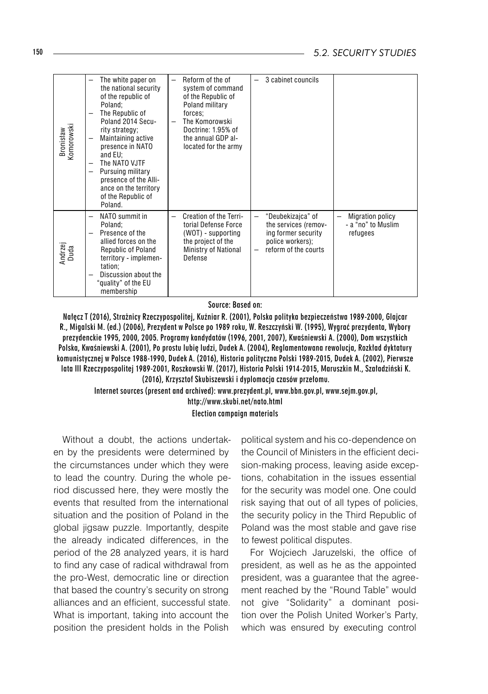| Bronisław<br>Komorowski | The white paper on<br>the national security<br>of the republic of<br>Poland;<br>The Republic of<br>$\overline{ }$<br>Poland 2014 Secu-<br>rity strategy;<br>Maintaining active<br>$\overline{\phantom{0}}$<br>presence in NATO<br>and EU:<br>The NATO VJTF<br>Pursuing military<br>$\overline{\phantom{m}}$<br>presence of the Alli-<br>ance on the territory<br>of the Republic of<br>Poland. | Reform of the of<br>$\overline{\phantom{0}}$<br>system of command<br>of the Republic of<br>Poland military<br>forces;<br>The Komorowski<br>Doctrine: 1.95% of<br>the annual GDP al-<br>located for the army | 3 cabinet councils                                                                                                                     |                                                                                       |
|-------------------------|------------------------------------------------------------------------------------------------------------------------------------------------------------------------------------------------------------------------------------------------------------------------------------------------------------------------------------------------------------------------------------------------|-------------------------------------------------------------------------------------------------------------------------------------------------------------------------------------------------------------|----------------------------------------------------------------------------------------------------------------------------------------|---------------------------------------------------------------------------------------|
| Andrzej<br>Duda         | NATO summit in<br>$\overline{\phantom{0}}$<br>Poland;<br>Presence of the<br>$\overline{\phantom{0}}$<br>allied forces on the<br>Republic of Poland<br>territory - implemen-<br>tation;<br>Discussion about the<br>$\overline{\phantom{0}}$<br>"quality" of the EU<br>membership                                                                                                                | Creation of the Terri-<br>$\overline{\phantom{0}}$<br>torial Defense Force<br>(WOT) - supporting<br>the project of the<br>Ministry of National<br>Defense                                                   | "Deubekizajca" of<br>$\qquad \qquad -$<br>the services (remov-<br>ing former security<br>police workers);<br>reform of the courts<br>- | <b>Migration policy</b><br>$\overline{\phantom{m}}$<br>- a "no" to Muslim<br>refugees |

Source: Based on:

Nałęcz T (2016), Strażnicy Rzeczypospolitej, Kuźniar R. (2001), Polska polityka bezpieczeństwa 1989-2000, Glajcar R., Migalski M. (ed.) (2006), Prezydent w Polsce po 1989 roku, W. Reszczyński W. (1995), Wygrać prezydenta, Wybory prezydenckie 1995, 2000, 2005. Programy kandydatów (1996, 2001, 2007), Kwaśniewski A. (2000), Dom wszystkich Polska, Kwaśniewski A. (2001), Po prostu lubię ludzi, Dudek A. (2004), Reglamentowana rewolucja, Rozkład dyktatury komunistycznej w Polsce 1988-1990, Dudek A. (2016), Historia polityczna Polski 1989-2015, Dudek A. (2002), Pierwsze lata III Rzeczypospolitej 1989-2001, Roszkowski W. (2017), Historia Polski 1914-2015, Maruszkin M., Szaładziński K. (2016), Krzysztof Skubiszewski i dyplomacja czasów przełomu.

Internet sources (present and archived): www.prezydent.pl, www.bbn.gov.pl, www.sejm.gov.pl, http://www.skubi.net/nato.html Election campaign materials

Without a doubt, the actions undertaken by the presidents were determined by the circumstances under which they were to lead the country. During the whole period discussed here, they were mostly the events that resulted from the international situation and the position of Poland in the global jigsaw puzzle. Importantly, despite the already indicated differences, in the period of the 28 analyzed years, it is hard to find any case of radical withdrawal from the pro-West, democratic line or direction that based the country's security on strong alliances and an efficient, successful state. What is important, taking into account the position the president holds in the Polish

political system and his co-dependence on the Council of Ministers in the efficient decision-making process, leaving aside exceptions, cohabitation in the issues essential for the security was model one. One could risk saying that out of all types of policies, the security policy in the Third Republic of Poland was the most stable and gave rise to fewest political disputes.

For Wojciech Jaruzelski, the office of president, as well as he as the appointed president, was a guarantee that the agreement reached by the "Round Table" would not give "Solidarity" a dominant position over the Polish United Worker's Party, which was ensured by executing control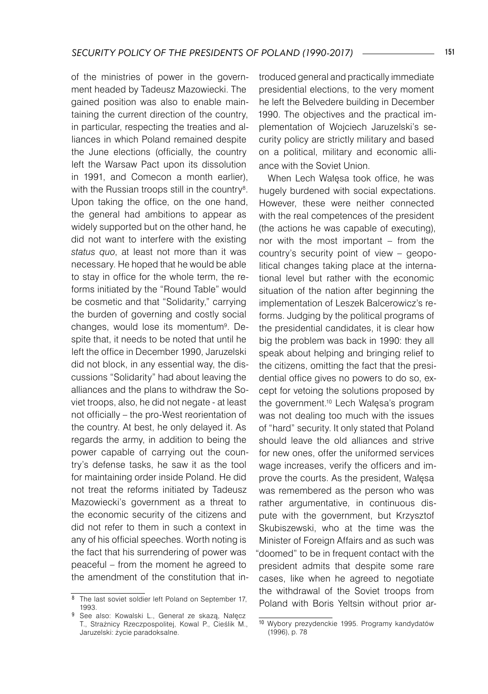of the ministries of power in the government headed by Tadeusz Mazowiecki. The gained position was also to enable maintaining the current direction of the country, in particular, respecting the treaties and alliances in which Poland remained despite the June elections (officially, the country left the Warsaw Pact upon its dissolution in 1991, and Comecon a month earlier), with the Russian troops still in the country $^{\rm 8}.$ Upon taking the office, on the one hand, the general had ambitions to appear as widely supported but on the other hand, he did not want to interfere with the existing *status quo*, at least not more than it was necessary. He hoped that he would be able to stay in office for the whole term, the reforms initiated by the "Round Table" would be cosmetic and that "Solidarity," carrying the burden of governing and costly social changes, would lose its momentum<sup>9</sup>. Despite that, it needs to be noted that until he left the office in December 1990, Jaruzelski did not block, in any essential way, the discussions "Solidarity" had about leaving the alliances and the plans to withdraw the Soviet troops, also, he did not negate - at least not officially – the pro-West reorientation of the country. At best, he only delayed it. As regards the army, in addition to being the power capable of carrying out the country's defense tasks, he saw it as the tool for maintaining order inside Poland. He did not treat the reforms initiated by Tadeusz Mazowiecki's government as a threat to the economic security of the citizens and did not refer to them in such a context in any of his official speeches. Worth noting is the fact that his surrendering of power was peaceful – from the moment he agreed to the amendment of the constitution that introduced general and practically immediate presidential elections, to the very moment he left the Belvedere building in December 1990. The objectives and the practical implementation of Wojciech Jaruzelski's security policy are strictly military and based on a political, military and economic alliance with the Soviet Union.

When Lech Wałęsa took office, he was hugely burdened with social expectations. However, these were neither connected with the real competences of the president (the actions he was capable of executing), nor with the most important – from the country's security point of view – geopolitical changes taking place at the international level but rather with the economic situation of the nation after beginning the implementation of Leszek Balcerowicz's reforms. Judging by the political programs of the presidential candidates, it is clear how big the problem was back in 1990: they all speak about helping and bringing relief to the citizens, omitting the fact that the presidential office gives no powers to do so, except for vetoing the solutions proposed by the government.10 Lech Wałęsa's program was not dealing too much with the issues of "hard" security. It only stated that Poland should leave the old alliances and strive for new ones, offer the uniformed services wage increases, verify the officers and improve the courts. As the president, Wałęsa was remembered as the person who was rather argumentative, in continuous dispute with the government, but Krzysztof Skubiszewski, who at the time was the Minister of Foreign Affairs and as such was "doomed" to be in frequent contact with the president admits that despite some rare cases, like when he agreed to negotiate the withdrawal of the Soviet troops from Poland with Boris Yeltsin without prior ar-

<sup>8</sup> The last soviet soldier left Poland on September 17, 1993.

<sup>9</sup> See also: Kowalski L., Generał ze skazą, Nałęcz T., Strażnicy Rzeczpospolitej, Kowal P., Cieślik M., Jaruzelski: życie paradoksalne.

<sup>10</sup> Wybory prezydenckie 1995. Programy kandydatów (1996), p. 78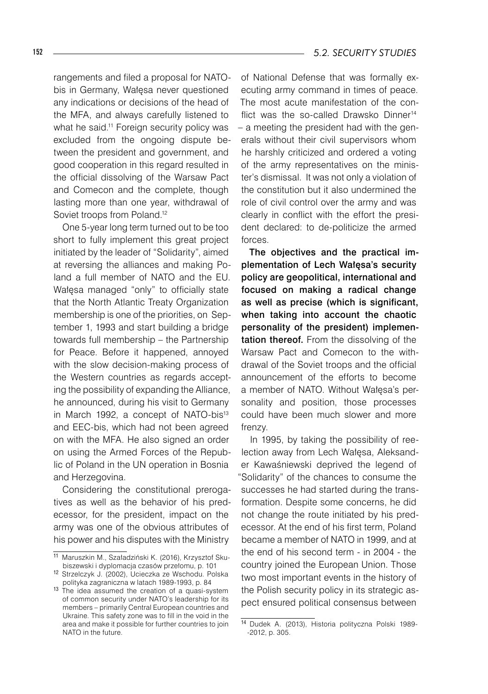rangements and filed a proposal for NATObis in Germany, Wałęsa never questioned any indications or decisions of the head of the MFA, and always carefully listened to what he said.<sup>11</sup> Foreign security policy was excluded from the ongoing dispute between the president and government, and good cooperation in this regard resulted in the official dissolving of the Warsaw Pact and Comecon and the complete, though lasting more than one year, withdrawal of Soviet troops from Poland.<sup>12</sup>

One 5-year long term turned out to be too short to fully implement this great project initiated by the leader of "Solidarity", aimed at reversing the alliances and making Poland a full member of NATO and the EU. Wałęsa managed "only" to officially state that the North Atlantic Treaty Organization membership is one of the priorities, on September 1, 1993 and start building a bridge towards full membership – the Partnership for Peace. Before it happened, annoyed with the slow decision-making process of the Western countries as regards accepting the possibility of expanding the Alliance, he announced, during his visit to Germany in March 1992, a concept of NATO-bis<sup>13</sup> and EEC-bis, which had not been agreed on with the MFA. He also signed an order on using the Armed Forces of the Republic of Poland in the UN operation in Bosnia and Herzegovina.

Considering the constitutional prerogatives as well as the behavior of his predecessor, for the president, impact on the army was one of the obvious attributes of his power and his disputes with the Ministry

of National Defense that was formally executing army command in times of peace. The most acute manifestation of the conflict was the so-called Drawsko Dinner<sup>14</sup> – a meeting the president had with the generals without their civil supervisors whom he harshly criticized and ordered a voting of the army representatives on the minister's dismissal. It was not only a violation of the constitution but it also undermined the role of civil control over the army and was clearly in conflict with the effort the president declared: to de-politicize the armed forces.

The objectives and the practical implementation of Lech Wałęsa's security policy are geopolitical, international and focused on making a radical change as well as precise (which is significant, when taking into account the chaotic personality of the president) implementation thereof. From the dissolving of the Warsaw Pact and Comecon to the withdrawal of the Soviet troops and the official announcement of the efforts to become a member of NATO. Without Wałęsa's personality and position, those processes could have been much slower and more frenzy.

In 1995, by taking the possibility of reelection away from Lech Wałęsa, Aleksander Kawaśniewski deprived the legend of "Solidarity" of the chances to consume the successes he had started during the transformation. Despite some concerns, he did not change the route initiated by his predecessor. At the end of his first term, Poland became a member of NATO in 1999, and at the end of his second term - in 2004 - the country joined the European Union. Those two most important events in the history of the Polish security policy in its strategic aspect ensured political consensus between

<sup>11</sup> Maruszkin M., Szaładziński K. (2016), Krzysztof Skubiszewski i dyplomacja czasów przełomu, p. 101

<sup>12</sup> Strzelczyk J. (2002), Ucieczka ze Wschodu. Polska polityka zagraniczna w latach 1989-1993, p. 84

<sup>&</sup>lt;sup>13</sup> The idea assumed the creation of a quasi-system of common security under NATO's leadership for its members – primarily Central European countries and Ukraine. This safety zone was to fill in the void in the area and make it possible for further countries to join NATO in the future.

<sup>14</sup> Dudek A. (2013), Historia polityczna Polski 1989- -2012, p. 305.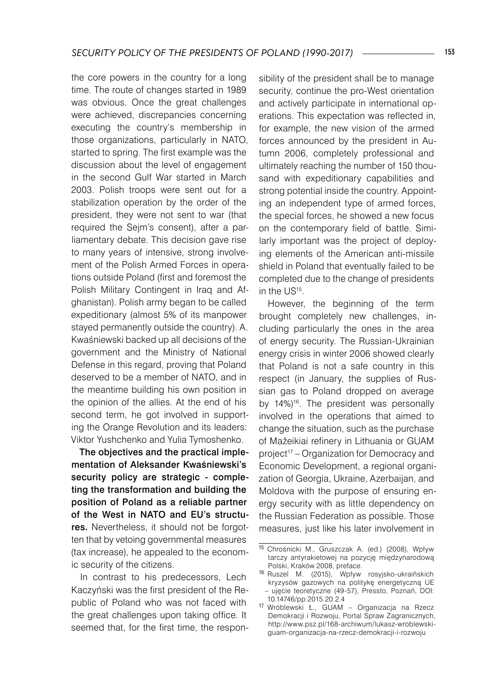the core powers in the country for a long time. The route of changes started in 1989 was obvious. Once the great challenges were achieved, discrepancies concerning executing the country's membership in those organizations, particularly in NATO, started to spring. The first example was the discussion about the level of engagement in the second Gulf War started in March 2003. Polish troops were sent out for a stabilization operation by the order of the president, they were not sent to war (that required the Sejm's consent), after a parliamentary debate. This decision gave rise to many years of intensive, strong involvement of the Polish Armed Forces in operations outside Poland (first and foremost the Polish Military Contingent in Iraq and Afghanistan). Polish army began to be called expeditionary (almost 5% of its manpower stayed permanently outside the country). A. Kwaśniewski backed up all decisions of the government and the Ministry of National Defense in this regard, proving that Poland deserved to be a member of NATO, and in the meantime building his own position in the opinion of the allies. At the end of his second term, he got involved in supporting the Orange Revolution and its leaders: Viktor Yushchenko and Yulia Tymoshenko.

The objectives and the practical implementation of Aleksander Kwaśniewski's security policy are strategic - completing the transformation and building the position of Poland as a reliable partner of the West in NATO and EU's structures. Nevertheless, it should not be forgotten that by vetoing governmental measures (tax increase), he appealed to the economic security of the citizens.

In contrast to his predecessors, Lech Kaczyński was the first president of the Republic of Poland who was not faced with the great challenges upon taking office. It seemed that, for the first time, the responsibility of the president shall be to manage security, continue the pro-West orientation and actively participate in international operations. This expectation was reflected in, for example, the new vision of the armed forces announced by the president in Autumn 2006, completely professional and ultimately reaching the number of 150 thousand with expeditionary capabilities and strong potential inside the country. Appointing an independent type of armed forces, the special forces, he showed a new focus on the contemporary field of battle. Similarly important was the project of deploying elements of the American anti-missile shield in Poland that eventually failed to be completed due to the change of presidents in the US<sup>15</sup>.

However, the beginning of the term brought completely new challenges, including particularly the ones in the area of energy security. The Russian-Ukrainian energy crisis in winter 2006 showed clearly that Poland is not a safe country in this respect (in January, the supplies of Russian gas to Poland dropped on average by 14%)<sup>16</sup>. The president was personally involved in the operations that aimed to change the situation, such as the purchase of Mažeikiai refinery in Lithuania or GUAM project<sup>17</sup> – Organization for Democracy and Economic Development, a regional organization of Georgia, Ukraine, Azerbaijan, and Moldova with the purpose of ensuring energy security with as little dependency on the Russian Federation as possible. Those measures, just like his later involvement in

<sup>15</sup> Chrośnicki M., Gruszczak A. (ed.) (2008), Wpływ tarczy antyrakietowej na pozycję międzynarodową Polski, Kraków 2008, preface.

<sup>16</sup> Ruszel M. (2015), Wpływ rosyjsko-ukraińskich kryzysów gazowych na politykę energetyczną UE – ujęcie teoretyczne (49-57), Pressto, Poznań, DOI: 10.14746/pp.2015.20.2.4

<sup>17</sup> Wróblewski Ł., GUAM – Organizacja na Rzecz Demokracji i Rozwoju, Portal Spraw Zagranicznych, http://www.psz.pl/168-archiwum/lukasz-wroblewskiguam-organizacja-na-rzecz-demokracji-i-rozwoju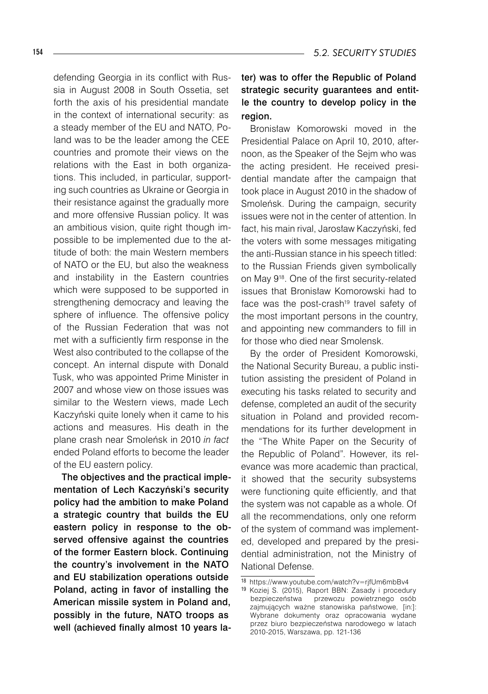defending Georgia in its conflict with Russia in August 2008 in South Ossetia, set forth the axis of his presidential mandate in the context of international security: as a steady member of the EU and NATO, Poland was to be the leader among the CEE countries and promote their views on the relations with the East in both organizations. This included, in particular, supporting such countries as Ukraine or Georgia in their resistance against the gradually more and more offensive Russian policy. It was an ambitious vision, quite right though impossible to be implemented due to the attitude of both: the main Western members of NATO or the EU, but also the weakness and instability in the Eastern countries which were supposed to be supported in strengthening democracy and leaving the sphere of influence. The offensive policy of the Russian Federation that was not met with a sufficiently firm response in the West also contributed to the collapse of the concept. An internal dispute with Donald Tusk, who was appointed Prime Minister in 2007 and whose view on those issues was similar to the Western views, made Lech Kaczyński quite lonely when it came to his actions and measures. His death in the plane crash near Smoleńsk in 2010 *in fact* ended Poland efforts to become the leader of the EU eastern policy.

The objectives and the practical implementation of Lech Kaczyński's security policy had the ambition to make Poland a strategic country that builds the EU eastern policy in response to the observed offensive against the countries of the former Eastern block. Continuing the country's involvement in the NATO and EU stabilization operations outside Poland, acting in favor of installing the American missile system in Poland and, possibly in the future, NATO troops as well (achieved finally almost 10 years la-

#### ter) was to offer the Republic of Poland strategic security guarantees and entitle the country to develop policy in the region.

Bronisław Komorowski moved in the Presidential Palace on April 10, 2010, afternoon, as the Speaker of the Sejm who was the acting president. He received presidential mandate after the campaign that took place in August 2010 in the shadow of Smoleńsk. During the campaign, security issues were not in the center of attention. In fact, his main rival, Jarosław Kaczyński, fed the voters with some messages mitigating the anti-Russian stance in his speech titled: to the Russian Friends given symbolically on May 918. One of the first security-related issues that Bronisław Komorowski had to face was the post-crash<sup>19</sup> travel safety of the most important persons in the country, and appointing new commanders to fill in for those who died near Smolensk.

By the order of President Komorowski, the National Security Bureau, a public institution assisting the president of Poland in executing his tasks related to security and defense, completed an audit of the security situation in Poland and provided recommendations for its further development in the "The White Paper on the Security of the Republic of Poland". However, its relevance was more academic than practical, it showed that the security subsystems were functioning quite efficiently, and that the system was not capable as a whole. Of all the recommendations, only one reform of the system of command was implemented, developed and prepared by the presidential administration, not the Ministry of National Defense.

<sup>18</sup> https://www.youtube.com/watch?v=rjfUm6mbBv4

<sup>19</sup> Koziej S. (2015), Raport BBN: Zasady i procedury bezpieczeństwa przewozu powietrznego osób zajmujących ważne stanowiska państwowe, [in:]: Wybrane dokumenty oraz opracowania wydane przez biuro bezpieczeństwa narodowego w latach 2010-2015, Warszawa, pp. 121-136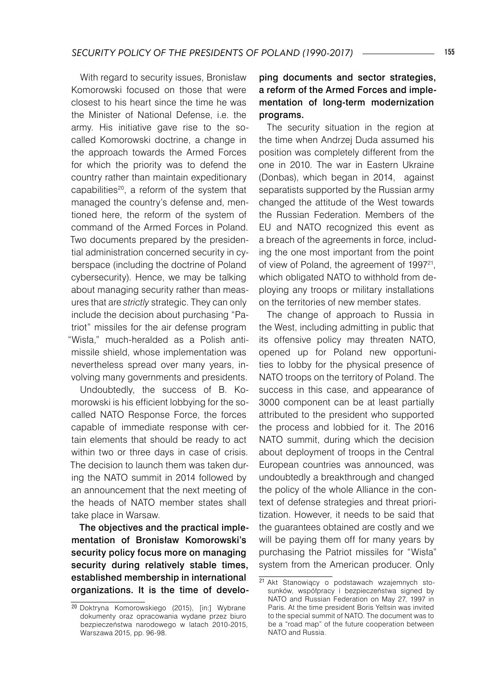With regard to security issues, Bronisław Komorowski focused on those that were closest to his heart since the time he was the Minister of National Defense, i.e. the army. His initiative gave rise to the socalled Komorowski doctrine, a change in the approach towards the Armed Forces for which the priority was to defend the country rather than maintain expeditionary capabilities<sup>20</sup>, a reform of the system that managed the country's defense and, mentioned here, the reform of the system of command of the Armed Forces in Poland. Two documents prepared by the presidential administration concerned security in cyberspace (including the doctrine of Poland cybersecurity). Hence, we may be talking about managing security rather than measures that are *strictly* strategic. They can only include the decision about purchasing "Patriot" missiles for the air defense program "Wisła," much-heralded as a Polish antimissile shield, whose implementation was nevertheless spread over many years, involving many governments and presidents.

Undoubtedly, the success of B. Komorowski is his efficient lobbying for the socalled NATO Response Force, the forces capable of immediate response with certain elements that should be ready to act within two or three days in case of crisis. The decision to launch them was taken during the NATO summit in 2014 followed by an announcement that the next meeting of the heads of NATO member states shall take place in Warsaw.

The objectives and the practical implementation of Bronisław Komorowski's security policy focus more on managing security during relatively stable times, established membership in international organizations. It is the time of develo-

#### ping documents and sector strategies, a reform of the Armed Forces and implementation of long-term modernization programs.

The security situation in the region at the time when Andrzej Duda assumed his position was completely different from the one in 2010. The war in Eastern Ukraine (Donbas), which began in 2014, against separatists supported by the Russian army changed the attitude of the West towards the Russian Federation. Members of the EU and NATO recognized this event as a breach of the agreements in force, including the one most important from the point of view of Poland, the agreement of 199721, which obligated NATO to withhold from deploying any troops or military installations on the territories of new member states.

The change of approach to Russia in the West, including admitting in public that its offensive policy may threaten NATO, opened up for Poland new opportunities to lobby for the physical presence of NATO troops on the territory of Poland. The success in this case, and appearance of 3000 component can be at least partially attributed to the president who supported the process and lobbied for it. The 2016 NATO summit, during which the decision about deployment of troops in the Central European countries was announced, was undoubtedly a breakthrough and changed the policy of the whole Alliance in the context of defense strategies and threat prioritization. However, it needs to be said that the guarantees obtained are costly and we will be paying them off for many years by purchasing the Patriot missiles for "Wisła" system from the American producer. Only

<sup>20</sup> Doktryna Komorowskiego (2015), [in:] Wybrane dokumenty oraz opracowania wydane przez biuro bezpieczeństwa narodowego w latach 2010-2015, Warszawa 2015, pp. 96-98.

<sup>21</sup> Akt Stanowiący o podstawach wzajemnych stosunków, współpracy i bezpieczeństwa signed by NATO and Russian Federation on May 27, 1997 in Paris. At the time president Boris Yeltsin was invited to the special summit of NATO. The document was to be a "road map" of the future cooperation between NATO and Russia.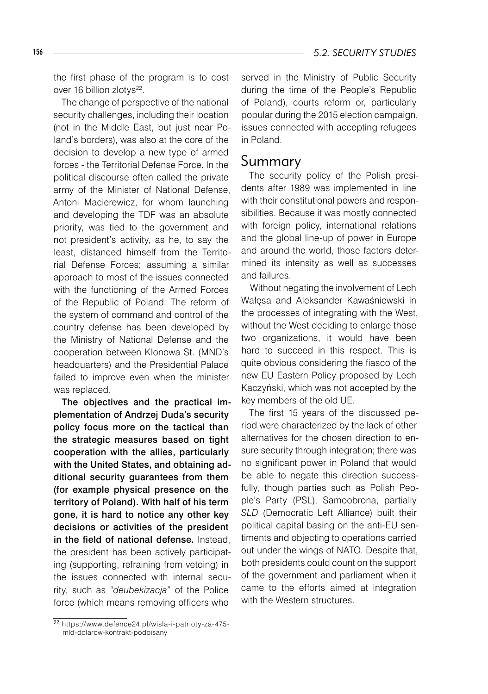the first phase of the program is to cost over 16 billion zlotys<sup>22</sup>.

The change of perspective of the national security challenges, including their location (not in the Middle East, but just near Poland's borders), was also at the core of the decision to develop a new type of armed forces - the Territorial Defense Force. In the political discourse often called the private army of the Minister of National Defense, Antoni Macierewicz, for whom launching and developing the TDF was an absolute priority, was tied to the government and not president's activity, as he, to say the least, distanced himself from the Territorial Defense Forces; assuming a similar approach to most of the issues connected with the functioning of the Armed Forces of the Republic of Poland. The reform of the system of command and control of the country defense has been developed by the Ministry of National Defense and the cooperation between Klonowa St. (MND's headquarters) and the Presidential Palace failed to improve even when the minister was replaced.

The objectives and the practical implementation of Andrzej Duda's security policy focus more on the tactical than the strategic measures based on tight cooperation with the allies, particularly with the United States, and obtaining additional security guarantees from them (for example physical presence on the territory of Poland). With half of his term gone, it is hard to notice any other key decisions or activities of the president in the field of national defense. Instead, the president has been actively participating (supporting, refraining from vetoing) in the issues connected with internal security, such as "*deubekizacja*" of the Police force (which means removing officers who

served in the Ministry of Public Security during the time of the People's Republic of Poland), courts reform or, particularly popular during the 2015 election campaign, issues connected with accepting refugees in Poland.

### Summary

The security policy of the Polish presidents after 1989 was implemented in line with their constitutional powers and responsibilities. Because it was mostly connected with foreign policy, international relations and the global line-up of power in Europe and around the world, those factors determined its intensity as well as successes and failures.

Without negating the involvement of Lech Wałęsa and Aleksander Kawaśniewski in the processes of integrating with the West, without the West deciding to enlarge those two organizations, it would have been hard to succeed in this respect. This is quite obvious considering the fiasco of the new EU Eastern Policy proposed by Lech Kaczyński, which was not accepted by the key members of the old UE.

The first 15 years of the discussed period were characterized by the lack of other alternatives for the chosen direction to ensure security through integration; there was no significant power in Poland that would be able to negate this direction successfully, though parties such as Polish People's Party (PSL), Samoobrona, partially *SLD* (Democratic Left Alliance) built their political capital basing on the anti-EU sentiments and objecting to operations carried out under the wings of NATO. Despite that, both presidents could count on the support of the government and parliament when it came to the efforts aimed at integration with the Western structures.

<sup>22</sup> https://www.defence24.pl/wisla-i-patrioty-za-475 mld-dolarow-kontrakt-podpisany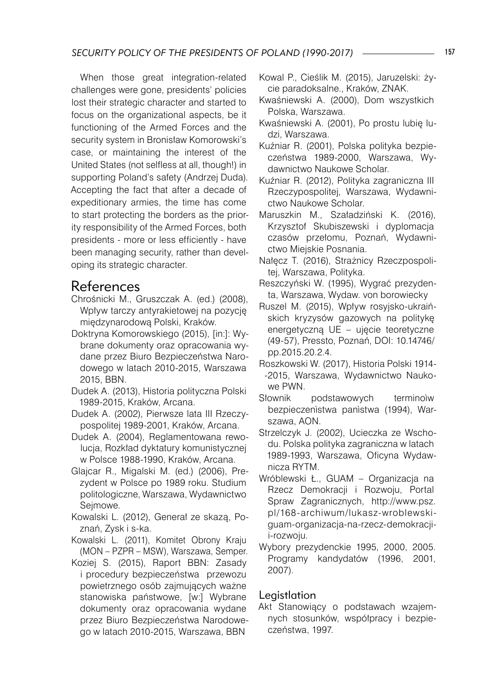When those great integration-related challenges were gone, presidents' policies lost their strategic character and started to focus on the organizational aspects, be it functioning of the Armed Forces and the security system in Bronisław Komorowski's case, or maintaining the interest of the United States (not selfless at all, though!) in supporting Poland's safety (Andrzej Duda). Accepting the fact that after a decade of expeditionary armies, the time has come to start protecting the borders as the priority responsibility of the Armed Forces, both presidents - more or less efficiently - have been managing security, rather than developing its strategic character.

## References

- Chrośnicki M., Gruszczak A. (ed.) (2008), Wpływ tarczy antyrakietowej na pozycję międzynarodową Polski, Kraków.
- Doktryna Komorowskiego (2015), [in:]: Wybrane dokumenty oraz opracowania wydane przez Biuro Bezpieczeństwa Narodowego w latach 2010-2015, Warszawa 2015, BBN.
- Dudek A. (2013), Historia polityczna Polski 1989-2015, Kraków, Arcana.
- Dudek A. (2002), Pierwsze lata III Rzeczypospolitej 1989-2001, Kraków, Arcana.
- Dudek A. (2004), Reglamentowana rewolucja, Rozkład dyktatury komunistycznej w Polsce 1988-1990, Kraków, Arcana.
- Glajcar R., Migalski M. (ed.) (2006), Prezydent w Polsce po 1989 roku. Studium politologiczne, Warszawa, Wydawnictwo Seimowe.
- Kowalski L. (2012), Generał ze skazą, Poznań, Zysk i s-ka.
- Kowalski L. (2011), Komitet Obrony Kraju (MON – PZPR – MSW), Warszawa, Semper.
- Koziej S. (2015), Raport BBN: Zasady i procedury bezpieczeństwa przewozu powietrznego osób zajmujących ważne stanowiska państwowe, [w:] Wybrane dokumenty oraz opracowania wydane przez Biuro Bezpieczeństwa Narodowego w latach 2010-2015, Warszawa, BBN
- Kowal P., Cieślik M. (2015), Jaruzelski: życie paradoksalne., Kraków, ZNAK.
- Kwaśniewski A. (2000), Dom wszystkich Polska, Warszawa.
- Kwaśniewski A. (2001), Po prostu lubię ludzi, Warszawa.
- Kuźniar R. (2001), Polska polityka bezpieczeństwa 1989-2000, Warszawa, Wydawnictwo Naukowe Scholar.
- Kuźniar R. (2012), Polityka zagraniczna III Rzeczypospolitej, Warszawa, Wydawnictwo Naukowe Scholar.
- Maruszkin M., Szaładziński K. (2016), Krzysztof Skubiszewski i dyplomacja czasów przełomu, Poznań, Wydawnictwo Miejskie Posnania.
- Nałęcz T. (2016), Strażnicy Rzeczpospolitej, Warszawa, Polityka.
- Reszczyński W. (1995), Wygrać prezydenta, Warszawa, Wydaw. von borowiecky
- Ruszel M. (2015), Wpływ rosyjsko-ukraińskich kryzysów gazowych na politykę energetyczną UE – ujęcie teoretyczne (49-57), Pressto, Poznań, DOI: 10.14746/ pp.2015.20.2.4.
- Roszkowski W. (2017), Historia Polski 1914- -2015, Warszawa, Wydawnictwo Naukowe PWN.
- Słownik podstawowych terminoìw bezpieczenìstwa panìstwa (1994), Warszawa, AON.
- Strzelczyk J. (2002), Ucieczka ze Wschodu. Polska polityka zagraniczna w latach 1989-1993, Warszawa, Oficyna Wydawnicza RYTM.
- Wróblewski Ł., GUAM Organizacja na Rzecz Demokracji i Rozwoju, Portal Spraw Zagranicznych, http://www.psz. pl/168-archiwum/lukasz-wroblewskiguam-organizacja-na-rzecz-demokracjii-rozwoju.
- Wybory prezydenckie 1995, 2000, 2005. Programy kandydatów (1996, 2001, 2007).

#### Legistlation

Akt Stanowiący o podstawach wzajemnych stosunków, współpracy i bezpieczeństwa, 1997.